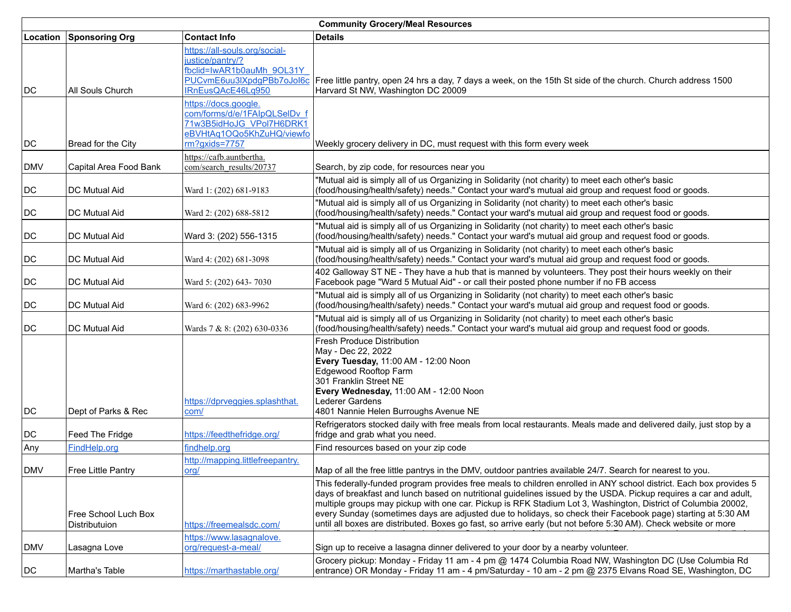| <b>Community Grocery/Meal Resources</b> |                                       |                                                                                                                                   |                                                                                                                                                                                                                                                                                                                                                                                                                                                                                                                                                                                            |  |
|-----------------------------------------|---------------------------------------|-----------------------------------------------------------------------------------------------------------------------------------|--------------------------------------------------------------------------------------------------------------------------------------------------------------------------------------------------------------------------------------------------------------------------------------------------------------------------------------------------------------------------------------------------------------------------------------------------------------------------------------------------------------------------------------------------------------------------------------------|--|
| Location                                | Sponsoring Org                        | <b>Contact Info</b>                                                                                                               | <b>Details</b>                                                                                                                                                                                                                                                                                                                                                                                                                                                                                                                                                                             |  |
| DC                                      | All Souls Church                      | https://all-souls.org/social-<br>justice/pantry/?<br>fbclid=IwAR1b0auMh 9OL31Y<br>IRnEusQAcE46Lq950                               | PUCvmE6uu3IXpdgPBb7oJol6c Free little pantry, open 24 hrs a day, 7 days a week, on the 15th St side of the church. Church address 1500<br>Harvard St NW, Washington DC 20009                                                                                                                                                                                                                                                                                                                                                                                                               |  |
| DC                                      | Bread for the City                    | https://docs.google.<br>com/forms/d/e/1FAIpQLSeIDv_f<br>71w3B5idHoJG VPol7H6DRK1<br>eBVHtAq1OQo5KhZuHQ/viewfo<br>$rm?$ gxids=7757 | Weekly grocery delivery in DC, must request with this form every week                                                                                                                                                                                                                                                                                                                                                                                                                                                                                                                      |  |
| DMV                                     | Capital Area Food Bank                | https://cafb.auntbertha.<br>com/search_results/20737                                                                              | Search, by zip code, for resources near you                                                                                                                                                                                                                                                                                                                                                                                                                                                                                                                                                |  |
| DC                                      | <b>DC Mutual Aid</b>                  | Ward 1: (202) 681-9183                                                                                                            | "Mutual aid is simply all of us Organizing in Solidarity (not charity) to meet each other's basic<br>(food/housing/health/safety) needs." Contact your ward's mutual aid group and request food or goods.                                                                                                                                                                                                                                                                                                                                                                                  |  |
| DC                                      | <b>DC Mutual Aid</b>                  | Ward 2: (202) 688-5812                                                                                                            | "Mutual aid is simply all of us Organizing in Solidarity (not charity) to meet each other's basic<br>(food/housing/health/safety) needs." Contact your ward's mutual aid group and request food or goods.                                                                                                                                                                                                                                                                                                                                                                                  |  |
| DC                                      | <b>DC Mutual Aid</b>                  | Ward 3: (202) 556-1315                                                                                                            | "Mutual aid is simply all of us Organizing in Solidarity (not charity) to meet each other's basic<br>(food/housing/health/safety) needs." Contact your ward's mutual aid group and request food or goods.                                                                                                                                                                                                                                                                                                                                                                                  |  |
| DC                                      | <b>DC Mutual Aid</b>                  | Ward 4: (202) 681-3098                                                                                                            | "Mutual aid is simply all of us Organizing in Solidarity (not charity) to meet each other's basic<br>(food/housing/health/safety) needs." Contact your ward's mutual aid group and request food or goods.                                                                                                                                                                                                                                                                                                                                                                                  |  |
| DC                                      | <b>DC Mutual Aid</b>                  | Ward 5: (202) 643-7030                                                                                                            | 402 Galloway ST NE - They have a hub that is manned by volunteers. They post their hours weekly on their<br>Facebook page "Ward 5 Mutual Aid" - or call their posted phone number if no FB access                                                                                                                                                                                                                                                                                                                                                                                          |  |
| DC                                      | <b>DC Mutual Aid</b>                  | Ward 6: (202) 683-9962                                                                                                            | "Mutual aid is simply all of us Organizing in Solidarity (not charity) to meet each other's basic<br>(food/housing/health/safety) needs." Contact your ward's mutual aid group and request food or goods.                                                                                                                                                                                                                                                                                                                                                                                  |  |
| DC                                      | DC Mutual Aid                         | Wards 7 & 8: (202) 630-0336                                                                                                       | "Mutual aid is simply all of us Organizing in Solidarity (not charity) to meet each other's basic<br>(food/housing/health/safety) needs." Contact your ward's mutual aid group and request food or goods.                                                                                                                                                                                                                                                                                                                                                                                  |  |
| DC                                      | Dept of Parks & Rec                   | https://dprveggies.splashthat.<br>com/                                                                                            | Fresh Produce Distribution<br>May - Dec 22, 2022<br>Every Tuesday, 11:00 AM - 12:00 Noon<br>Edgewood Rooftop Farm<br>301 Franklin Street NE<br>Every Wednesday, 11:00 AM - 12:00 Noon<br>Lederer Gardens<br>4801 Nannie Helen Burroughs Avenue NE                                                                                                                                                                                                                                                                                                                                          |  |
| DC                                      | Feed The Fridge                       | https://feedthefridge.org/                                                                                                        | Refrigerators stocked daily with free meals from local restaurants. Meals made and delivered daily, just stop by a<br>fridge and grab what you need.                                                                                                                                                                                                                                                                                                                                                                                                                                       |  |
| Any                                     | FindHelp.org                          | findhelp.org                                                                                                                      | Find resources based on your zip code                                                                                                                                                                                                                                                                                                                                                                                                                                                                                                                                                      |  |
| DMV                                     | Free Little Pantry                    | http://mapping.littlefreepantry.<br>org/                                                                                          | Map of all the free little pantrys in the DMV, outdoor pantries available 24/7. Search for nearest to you.                                                                                                                                                                                                                                                                                                                                                                                                                                                                                 |  |
|                                         | Free School Luch Box<br>Distributuion | https://freemealsdc.com/                                                                                                          | This federally-funded program provides free meals to children enrolled in ANY school district. Each box provides 5<br>days of breakfast and lunch based on nutritional guidelines issued by the USDA. Pickup requires a car and adult,<br>multiple groups may pickup with one car. Pickup is RFK Stadium Lot 3, Washington, District of Columbia 20002,<br>every Sunday (sometimes days are adjusted due to holidays, so check their Facebook page) starting at 5:30 AM<br>until all boxes are distributed. Boxes go fast, so arrive early (but not before 5:30 AM). Check website or more |  |
| DMV                                     | Lasagna Love                          | https://www.lasagnalove.<br>org/request-a-meal/                                                                                   | Sign up to receive a lasagna dinner delivered to your door by a nearby volunteer.                                                                                                                                                                                                                                                                                                                                                                                                                                                                                                          |  |
| DC                                      | Martha's Table                        | https://marthastable.org/                                                                                                         | Grocery pickup: Monday - Friday 11 am - 4 pm @ 1474 Columbia Road NW, Washington DC (Use Columbia Rd<br>entrance) OR Monday - Friday 11 am - 4 pm/Saturday - 10 am - 2 pm @ 2375 Elvans Road SE, Washington, DC                                                                                                                                                                                                                                                                                                                                                                            |  |